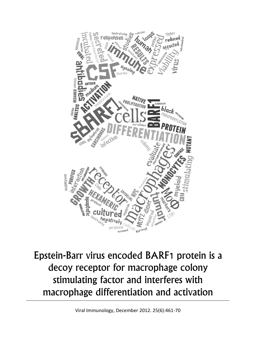

Epstein-Barr virus encoded BARF1 protein is a decoy receptor for macrophage colony stimulating factor and interferes with macrophage differentiation and activation

Viral Immunology, December 2012. 25(6):461-70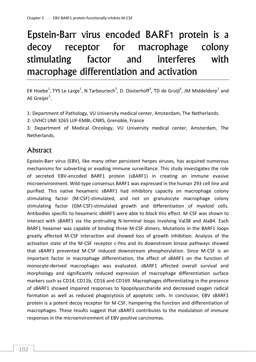# Epstein-Barr virus encoded BARF1 protein is a decoy receptor for macrophage colony stimulating factor and interferes with macrophage differentiation and activation

EK Hoebe<sup>1</sup>, TYS Le Large<sup>1</sup>, N Tarbouriech<sup>2</sup>, D. Oosterhoff<sup>3</sup>, TD de Gruijl<sup>3</sup>, JM Middeldorp<sup>1</sup> and AE Greijer $^1$ .

1: Department of Pathology, VU University medical center, Amsterdam, The Netherlands.

2: UVHCI UMI 3265 UJF-EMBL-CNRS, Grenoble, France

3: Department of Medical Oncology, VU University medical center, Amsterdam, The **Netherlands** 

# **Abstract**

Epstein-Barr virus (EBV), like many other persistent herpes viruses, has acquired numerous mechanisms for subverting or evading immune surveillance. This study investigates the role of secreted EBV-encoded BARF1 protein (sBARF1) in creating an immune evasive microenvironment. Wild-type consensus BARF1 was expressed in the human 293 cell line and purified. This native hexameric sBARF1 had inhibitory capacity on macrophage colony stimulating factor (M-CSF)-stimulated, and not on granulocyte macrophage colony stimulating factor (GM-CSF)-stimulated growth and differentiation of myeloid cells. Antibodies specific to hexameric sBARF1 were able to block this effect. M-CSF was shown to interact with sBARF1 via the protruding N-terminal loops involving Val38 and Ala84. Each BARF1 hexamer was capable of binding three M-CSF dimers. Mutations in the BARF1 loops greatly affected M-CSF interaction and showed loss of growth inhibition. Analysis of the activation state of the M-CSF receptor c-fms and its downstream kinase pathways showed that sBARF1 prevented M-CSF induced downstream phosphorylation. Since M-CSF is an important factor in macrophage differentiation, the effect of sBARF1 on the function of monocyte-derived macrophages was evaluated. sBARF1 affected overall survival and morphology and significantly reduced expression of macrophage differentiation surface markers such as CD14, CD11b, CD16 and CD169. Macrophages differentiating in the presence of sBARF1 showed impaired responses to lipopolysaccharide and decreased oxygen radical formation as well as reduced phagocytosis of apoptotic cells. In conclusion, EBV sBARF1 protein is a potent decoy receptor for M-CSF, hampering the function and differentiation of macrophages. These results suggest that sBARF1 contributes to the modulation of immune responses in the microenvironment of EBV positive carcinomas.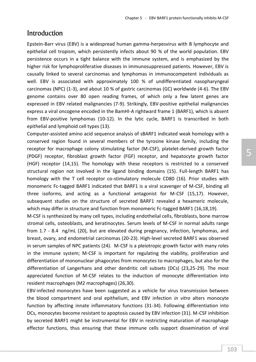## Introduction

Epstein-Barr virus (EBV) is a widespread human gamma-herpesvirus with B lymphocyte and epithelial cell tropism, which persistently infects about 90 % of the world population. EBV persistence occurs in a tight balance with the immune system, and is emphasized by the higher risk for lymphoproliferative diseases in immunosuppressed patients. However, EBV is causally linked to several carcinomas and lymphomas in immunocompetent individuals as well. EBV is associated with approximately 100 % of undifferentiated nasopharyngeal carcinomas (NPC) (1-3), and about 10 % of gastric carcinomas (GC) worldwide (4-6). The EBV genome contains over 80 open reading frames, of which only a few latent genes are expressed in EBV related malignancies (7-9). Strikingly, EBV-positive epithelial malignancies express a viral oncogene encoded in the BamHI-A rightward frame 1 (BARF1), which is absent from EBV-positive lymphomas (10-12). In the lytic cycle, BARF1 is transcribed in both epithelial and lymphoid cell types (13).

Computer-assisted amino acid sequence analysis of sBARF1 indicated weak homology with a conserved region found in several members of the tyrosine kinase family, including the receptor for macrophage colony stimulating factor (M-CSF), platelet-derived growth factor (PDGF) receptor, fibroblast growth factor (FGF) receptor, and hepatocyte growth factor (HGF) receptor (14,15). The homology with these receptors is restricted to a conserved structural region not involved in the ligand binding domains (15). Full-length BARF1 has homology with the T cell receptor co-stimulatory molecule CD80 (16). Prior studies with monomeric Fc-tagged BARF1 indicated that BARF1 is a viral scavenger of M-CSF, binding all three isoforms, and acting as a functional antagonist for M-CSF (15,17). However, subsequent studies on the structure of secreted BARF1 revealed a hexameric molecule, which may differ in structure and function from monomeric Fc-tagged BARF1 (16,18,19).

M-CSF is synthesized by many cell types, including endothelial cells, fibroblasts, bone marrow stromal cells, osteoblasts, and keratinocytes. Serum levels of M-CSF in normal adults range from 1.7 - 8.4 ng/mL (20), but are elevated during pregnancy, infection, lymphomas, and breast, ovary, and endometrial carcinomas (20-23). High-level secreted BARF1 was observed in serum samples of NPC patients (24). M-CSF is a pleiotropic growth factor with many roles in the immune system; M-CSF is important for regulating the viability, proliferation and differentiation of mononuclear phagocytes from monocytes to macrophages, but also for the differentiation of Langerhans and other dendritic cell subsets (DCs) (23,25-29). The most appreciated function of M-CSF relates to the induction of monocyte differentiation into resident macrophages (M2 macrophages) (26,30).

EBV-infected monocytes have been suggested as a vehicle for virus transmission between the blood compartment and oral epithelium, and EBV infection *in vitro* alters monocyte function by affecting innate inflammatory functions (31-34). Following differentiation into DCs, monocytes become resistant to apoptosis caused by EBV infection (31). M-CSF inhibition by secreted BARF1 might be instrumental for EBV in restricting maturation of macrophage effector functions, thus ensuring that these immune cells support dissemination of viral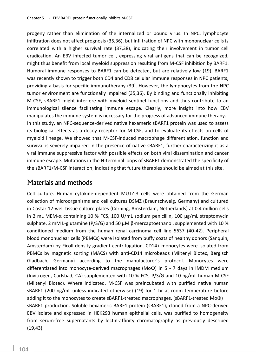progeny rather than elimination of the internalized or bound virus. In NPC, lymphocyte infiltration does not affect prognosis (35,36), but infiltration of NPC with mononuclear cells is correlated with a higher survival rate (37,38), indicating their involvement in tumor cell eradication. An EBV infected tumor cell, expressing viral antigens that can be recognized, might thus benefit from local myeloid suppression resulting from M-CSF inhibition by BARF1. Humoral immune responses to BARF1 can be detected, but are relatively low (19). BARF1 was recently shown to trigger both CD4 and CD8 cellular immune responses in NPC patients, providing a basis for specific immunotherapy (39). However, the lymphocytes from the NPC tumor environment are functionally impaired (35,36). By binding and functionally inhibiting M-CSF, sBARF1 might interfere with myeloid sentinel functions and thus contribute to an immunological silence facilitating immune escape. Clearly, more insight into how EBV manipulates the immune system is necessary for the progress of advanced immune therapy. In this study, an NPC-sequence-derived native hexameric sBARF1 protein was used to assess its biological effects as a decoy receptor for M-CSF, and to evaluate its effects on cells of myeloid lineage. We showed that M-CSF-induced macrophage differentiation, function and survival is severely impaired in the presence of native sBARF1, further characterizing it as a viral immune suppressive factor with possible effects on both viral dissemination and cancer immune escape. Mutations in the N-terminal loops of sBARF1 demonstrated the specificity of the sBARF1/M-CSF interaction, indicating that future therapies should be aimed at this site.

# Materials and methods

Cell culture. Human cytokine-dependent MUTZ-3 cells were obtained from the German collection of microorganisms and cell cultures DSMZ (Braunschweig, Germany) and cultured in Costar 12-well tissue culture plates (Corning, Amsterdam, Netherlands) at 0.4 million cells in 2 mL MEM-α containing 10 % FCS, 100 U/mL sodium penicillin, 100 μg/mL streptomycin sulphate, 2 mM L-glutamine (P/S/G) and 50 µM β-mercaptoethanol, supplemented with 10 % conditioned medium from the human renal carcinoma cell line 5637 (40-42). Peripheral blood mononuclear cells (PBMCs) were isolated from buffy coats of healthy donors (Sanquin, Amsterdam) by Ficoll density gradient centrifugation. CD14+ monocytes were isolated from PBMCs by magnetic sorting (MACS) with anti-CD14 microbeads (Miltenyi Biotec, Bergisch Gladbach, Germany) according to the manufacturer's protocol. Monocytes were differentiated into monocyte-derived macrophages (MoΦ) in 5 - 7 days in IMDM medium (Invitrogen, Carlsbad, CA) supplemented with 10 % FCS, P/S/G and 10 ng/mL human M-CSF (Miltenyi Biotec). Where indicated, M-CSF was preincubated with purified native human sBARF1 (200 ng/mL unless indicated otherwise) (19) for 1 hr at room temperature before adding it to the monocytes to create sBARF1-treated macrophages. (sBARF1-treated MoΦ) sBARF1 production. Soluble hexameric BARF1 protein (sBARF1), cloned from a NPC-derived EBV isolate and expressed in HEK293 human epithelial cells, was purified to homogeneity from serum-free supernatants by lectin-affinity chromatography as previously described (19,43).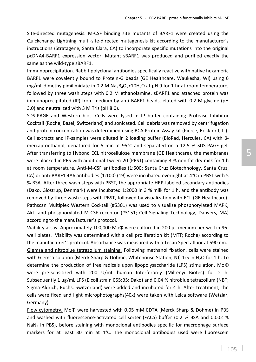Site-directed mutagenesis. M-CSF binding site mutants of BARF1 were created using the Quickchange Lightning multi-site-directed mutagenesis kit according to the manufacturer's instructions (Stratagene, Santa Clara, CA) to incorporate specific mutations into the original pcDNA4-BARF1 expression vector. Mutant sBARF1 was produced and purified exactly the same as the wild-type sBARF1.

Immunoprecipitation. Rabbit polyclonal antibodies specifically reactive with native hexameric BARF1 were covalently bound to Protein-G beads (GE Healthcare, Waukesha, WI) using 6 mg/mL dimethylpimilimidate in 0.2 M Na<sub>2</sub>B<sub>4</sub>O<sub>7</sub>•10H<sub>2</sub>O at pH 9 for 1 hr at room temperature. followed by three wash steps with 0.2 M ethanolamine. sBARF1 and attached protein was immunoprecipitated (IP) from medium by anti-BARF1 beads, eluted with 0.2 M glycine (pH 3.0) and neutralized with 3 M Tris (pH 8.0).

SDS-PAGE and Western blot. Cells were lysed in IP buffer containing Protease Inhibitor Cocktail (Roche, Basel, Switzerland) and sonicated. Cell debris was removed by centrifugation and protein concentration was determined using BCA Protein Assay kit (Pierce, Rockford, IL). Cell extracts and IP-samples were diluted in 2 loading buffer (BioRad, Hercules, CA) with βmercaptoethanol, denatured for 5 min at 95°C and separated on a 12.5 % SDS-PAGE gel. After transferring to Hybond ECL nitrocellulose membrane (GE Healthcare), the membranes were blocked in PBS with additional Tween-20 (PBST) containing 3 % non-fat dry milk for 1 h at room temperature. Anti-M-CSF antibodies (1:500; Santa Cruz Biotechnology, Santa Cruz, CA) or anti-BARF1 4A6 antibodies (1:100) (19) were incubated overnight at 4°C in PBST with 5 % BSA. After three wash steps with PBST, the appropriate HRP-labeled secondary antibodies (Dako, Glostrup, Denmark) were incubated 1:2000 in 3 % milk for 1 h, and the antibody was removed by three wash steps with PBST, followed by visualization with ECL (GE Healthcare). Pathscan Multiplex Western Cocktail (#5301) was used to visualize phosphorylated MAPK, Akt- and phosphorylated M-CSF receptor (#3151; Cell Signaling Technology, Danvers, MA) according to the manufacturer's protocol.

Viability assay. Approximately 100,000 MoΦ were cultured in 200 μL medium per well in 96 well plates. Viability was determined with a cell proliferation kit (MTT; Roche) according to the manufacturer's protocol. Absorbance was measured with a Tecan Spectafluor at 590 nm. Giemsa and nitroblue tetrazolium staining. Following methanol fixation, cells were stained with Giemsa solution (Merck Sharp & Dohme, Whitehouse Station, NJ) 1:5 in H<sub>2</sub>O for 1 h. To determine the production of free radicals upon lipopolysaccharide (LPS) stimulation, MoΦ were pre-sensitized with 200 U/mL human Interferon-γ (Miltenyi Biotec) for 2 h. Subsequently 1 μg/mL LPS (E.coli strain 055:B5; Dako) and 0.04 % nitroblue tetrazolium (NBT; Sigma-Aldrich, Buchs, Switzerland) were added and incubated for 4 h. After treatment, the cells were fixed and light microphotographs(40x) were taken with Leica software (Wetzlar, Germany).

Flow cytometry. MoΦ were harvested with 0.05 mM EDTA (Merck Sharp & Dohme) in PBS and washed with fluorescence-activated cell sorter (FACS) buffer (0.2 % BSA and 0.002 %  $NaN<sub>3</sub>$  in PBS), before staining with monoclonal antibodies specific for macrophage surface markers for at least 30 min at 4°C. The monoclonal antibodies used were fluorescein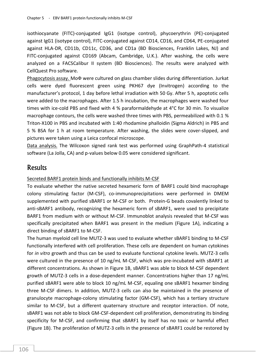isothiocyanate (FITC)-conjugated IgG1 (isotype control), phycoerythrin (PE)-conjugated against IgG1 (isotype control), FITC-conjugated against CD14, CD16, and CD64, PE-conjugated against HLA-DR, CD11b, CD11c, CD36, and CD1a (BD Biosciences, Franklin Lakes, NJ) and FITC-conjugated against CD169 (Abcam, Cambridge, U.K.). After washing, the cells were analyzed on a FACSCalibur II system (BD Biosciences). The results were analyzed with CellQuest Pro software.

Phagocytosis assay. MoФ were cultured on glass chamber slides during differentiation. Jurkat cells were dyed fluorescent green using PKH67 dye (Invitrogen) according to the manufacturer's protocol, 1 day before lethal irradiation with 50 Gy. After 5 h, apoptotic cells were added to the macrophages. After 1.5 h incubation, the macrophages were washed four times with ice-cold PBS and fixed with 4 % paraformaldehyde at 4°C for 30 min. To visualize macrophage contours, the cells were washed three times with PBS, permeabilized with 0.1 % Triton-X100 in PBS and incubated with 1:40 rhodamine phalloidin (Sigma Aldrich) in PBS and 5 % BSA for 1 h at room temperature. After washing, the slides were cover-slipped, and pictures were taken using a Leica confocal microscope.

Data analysis. The Wilcoxon signed rank test was performed using GraphPath-4 statistical software (La Jolla, CA) and p-values below 0.05 were considered significant.

## **Results**

## Secreted BARF1 protein binds and functionally inhibits M-CSF

To evaluate whether the native secreted hexameric form of BARF1 could bind macrophage colony stimulating factor (M-CSF), co-immunoprecipitations were performed in DMEM supplemented with purified sBARF1 or M-CSF or both. Protein-G beads covalently linked to anti-sBARF1 antibody, recognizing the hexameric form of sBARF1, were used to precipitate BARF1 from medium with or without M-CSF. Immunoblot analysis revealed that M-CSF was specifically precipitated when BARF1 was present in the medium (Figure 1A), indicating a direct binding of sBARF1 to M-CSF.

The human myeloid cell line MUTZ-3 was used to evaluate whether sBARF1 binding to M-CSF functionally interfered with cell proliferation. These cells are dependent on human cytokines for *in vitro* growth and thus can be used to evaluate functional cytokine levels. MUTZ-3 cells were cultured in the presence of 10 ng/mL M-CSF, which was pre-incubated with sBARF1 at different concentrations. As shown in Figure 1B, sBARF1 was able to block M-CSF dependent growth of MUTZ-3 cells in a dose-dependent manner. Concentrations higher than 17 ng/mL purified sBARF1 were able to block 10 ng/mL M-CSF, equaling one sBARF1 hexamer binding three M-CSF dimers. In addition, MUTZ-3 cells can also be maintained in the presence of granulocyte macrophage-colony stimulating factor (GM-CSF), which has a tertiary structure similar to M-CSF, but a different quaternary structure and receptor interaction. Of note, sBARF1 was not able to block GM-CSF-dependent cell proliferation, demonstrating its binding specificity for M-CSF, and confirming that sBARF1 by itself has no toxic or harmful effect (Figure 1B). The proliferation of MUTZ-3 cells in the presence of sBARF1 could be restored by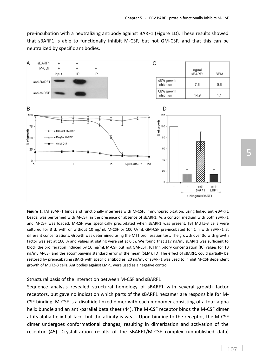pre-incubation with a neutralizing antibody against BARF1 (Figure 1D). These results showed that sBARF1 is able to functionally inhibit M-CSF, but not GM-CSF, and that this can be neutralized by specific antibodies.



**Figure 1.** [A] sBARF1 binds and functionally interferes with M-CSF. Immunoprecipitation, using linked anti-sBARF1 beads, was performed with M-CSF, in the presence or absence of sBARF1. As a control, medium with both sBARF1 and M-CSF was loaded. M-CSF was specifically precipitated when sBARF1 was present. [B] MUTZ-3 cells were cultured for 3 d, with or without 10 ng/mL M-CSF or 100 U/mL GM-CSF pre-incubated for 1 h with sBARF1 at different concentrations. Growth was determined using the MTT proliferation test. The growth over 3d with growth factor was set at 100 % and values at plating were set at 0 %. We found that ±17 ng/mL sBARF1 was sufficient to block the proliferation induced by 10 ng/mL M-CSF but not GM-CSF. [C] Inhibitory concentration (IC) values for 10 ng/mL M-CSF and the accompanying standard error of the mean (SEM). [D] The effect of sBARF1 could partially be restored by preincubating sBARF with specific antibodies. 20 ng/mL of sBARF1 was used to inhibit M-CSF dependent growth of MUTZ-3 cells. Antibodies against LMP1 were used as a negative control.

## Structural basis of the interaction between M-CSF and sBARF1

Sequence analysis revealed structural homology of sBARF1 with several growth factor receptors, but gave no indication which parts of the sBARF1 hexamer are responsible for M-CSF binding. M-CSF is a disulfide-linked dimer with each monomer consisting of a four-alpha helix bundle and an anti-parallel beta sheet (44). The M-CSF receptor binds the M-CSF dimer at its alpha-helix flat face, but the affinity is weak. Upon binding to the receptor, the M-CSF dimer undergoes conformational changes, resulting in dimerization and activation of the receptor (45). Crystallization results of the sBARF1/M-CSF complex (unpublished data)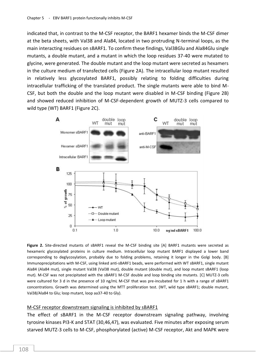indicated that, in contrast to the M-CSF receptor, the BARF1 hexamer binds the M-CSF dimer at the beta sheets, with Val38 and Ala84, located in two protruding N-terminal loops, as the main interacting residues on sBARF1. To confirm these findings, Val38Glu and Ala84Glu single mutants, a double mutant, and a mutant in which the loop residues 37-40 were mutated to glycine, were generated. The double mutant and the loop mutant were secreted as hexamers in the culture medium of transfected cells (Figure 2A). The intracellular loop mutant resulted in relatively less glycosylated BARF1, possibly relating to folding difficulties during intracellular trafficking of the translated product. The single mutants were able to bind M-CSF, but both the double and the loop mutant were disabled in M-CSF binding (Figure 2B) and showed reduced inhibition of M-CSF-dependent growth of MUTZ-3 cells compared to wild type (WT) BARF1 (Figure 2C).



**Figure 2.** Site-directed mutants of sBARF1 reveal the M-CSF binding site [A] BARF1 mutants were secreted as hexameric glycosylated proteins in culture medium. Intracellular loop mutant BARF1 displayed a lower band corresponding to deglycosylation, probably due to folding problems, retaining it longer in the Golgi body. [B] Immunoprecipitations with M-CSF, using linked anti-sBARF1 beads, were performed with WT sBARF1, single mutant Ala84 (Ala84 mut), single mutant Val38 (Val38 mut), double mutant (double mut), and loop mutant sBARF1 (loop mut). M-CSF was not precipitated with the sBARF1 M-CSF double and loop binding site mutants. [C] MUTZ-3 cells were cultured for 3 d in the presence of 10 ng/mL M-CSF that was pre-incubated for 1 h with a range of sBARF1 concentrations. Growth was determined using the MTT proliferation test. (WT, wild type sBARF1; double mutant, Val38/Ala84 to Glu; loop mutant, loop aa37-40 to Gly).

#### M-CSF receptor downstream signaling is inhibited by sBARF1

The effect of sBARF1 in the M-CSF receptor downstream signaling pathway, involving tyrosine kinases PI3-K and STAT (30,46,47), was evaluated. Five minutes after exposing serum starved MUTZ-3 cells to M-CSF, phosphorylated (active) M-CSF receptor, Akt and MAPK were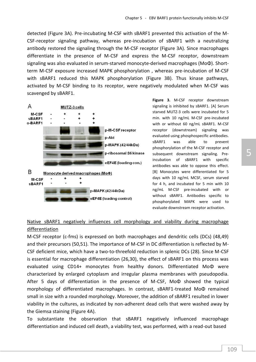detected (Figure 3A). Pre-incubating M-CSF with sBARF1 prevented this activation of the M-CSF-receptor signaling pathway, whereas pre-incubation of sBARF1 with a neutralizing antibody restored the signaling through the M-CSF receptor (Figure 3A). Since macrophages differentiate in the presence of M-CSF and express the M-CSF receptor, downstream signaling was also evaluated in serum-starved monocyte-derived macrophages (MoΦ). Shortterm M-CSF exposure increased MAPK phosphorylation , whereas pre-incubation of M-CSF with sBARF1 reduced this MAPK phosphorylation (Figure 3B). Thus kinase pathways, activated by M-CSF binding to its receptor, were negatively modulated when M-CSF was scavenged by sBARF1.



**Figure 3.** M-CSF receptor downstream signaling is inhibited by sBARF1. [A] Serum starved MUTZ-3 cells were incubated for 5 min. with 10 ng/mL M-CSF pre-incubated with or without 60 ng/mL sBARF1. M-CSF receptor (downstream) signaling was evaluated using phosphospecific antibodies. sBARF1 was able to prevent phosphorylation of the M-CSF receptor and subsequent downstream signaling. Preincubation of sBARF1 with specific antibodies was able to oppose this effect. [B] Monocytes were differentiated for 5 days with 10 ng/mL MCSF, serum starved for 4 h, and incubated for 5 min with 10 ng/mL M-CSF pre-incubated with or without sBARF1. Antibodies specific to phosphorylated MAPK were used to evaluate downstream receptor activation.

## Native sBARF1 negatively influences cell morphology and viability during macrophage differentiation

M-CSF receptor (c-fms) is expressed on both macrophages and dendritic cells (DCs) (48,49) and their precursors (50,51). The importance of M-CSF in DC differentiation is reflected by M-CSF deficient mice, which have a two-to-threefold reduction in splenic DCs (28). Since M-CSF is essential for macrophage differentiation (26,30), the effect of sBARF1 on this process was evaluated using CD14+ monocytes from healthy donors. Differentiated MoΦ were characterized by enlarged cytoplasm and irregular plasma membranes with pseudopodia. After 5 days of differentiation in the presence of M-CSF, MoΦ showed the typical morphology of differentiated macrophages. In contrast, sBARF1-treated MoΦ remained small in size with a rounded morphology. Moreover, the addition of sBARF1 resulted in lower viability in the cultures, as indicated by non-adherent dead cells that were washed away by the Giemsa staining (Figure 4A).

To substantiate the observation that sBARF1 negatively influenced macrophage differentiation and induced cell death, a viability test, was performed, with a read-out based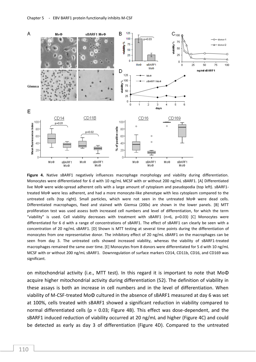

**Figure 4.** Native sBARF1 negatively influences macrophage morphology and viability during differentiation. Monocytes were differentiated for 6 d with 10 ng/mL MCSF with or without 200 ng/mL sBARF1. [A] Differentiated live Mo $\Phi$  were wide-spread adherent cells with a large amount of cytoplasm and pseudopodia (top left). sBARF1treated MoФ were less adherent, and had a more monocyte-like phenotype with less cytoplasm compared to the untreated cells (top right). Small particles, which were not seen in the untreated MoФ were dead cells. Differentiated macrophages, fixed and stained with Giemsa (200x) are shown in the lower panels. [B] MTT proliferation test was used assess both increased cell numbers and level of differentiation, for which the term "viability" is used. Cell viability decreases with treatment with sBARF1 (n=6, p=0.03) [C] Monocytes were differentiated for 6 d with a range of concentrations of sBARF1. The effect of sBARF1 can clearly be seen with a concentration of 20 ng/mL sBARF1. [D] Shown is MTT testing at several time points during the differentiation of monocytes from one representative donor. The inhibitory effect of 20 ng/mL sBARF1 on the macrophages can be seen from day 3. The untreated cells showed increased viability, whereas the viability of sBARF1-treated macrophages remained the same over time. [E] Monocytes from 8 donors were differentiated for 5 d with 10 ng/mL MCSF with or without 200 ng/mL sBARF1. Downregulation of surface markers CD14, CD11b, CD16, and CD169 was significant.

on mitochondrial activity (i.e., MTT test). In this regard it is important to note that MoΦ acquire higher mitochondrial activity during differentiation (52). The definition of viability in these assays is both an increase in cell numbers and in the level of differentiation. When viability of M-CSF-treated MoΦ cultured in the absence of sBARF1 measured at day 6 was set at 100%, cells treated with sBARF1 showed a significant reduction in viability compared to normal differentiated cells (p = 0.03; Figure 4B). This effect was dose-dependent, and the sBARF1 induced reduction of viability occurred at 20 ng/mL and higher (Figure 4C) and could be detected as early as day 3 of differentiation (Figure 4D). Compared to the untreated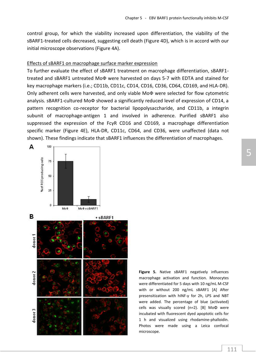control group, for which the viability increased upon differentiation, the viability of the sBARF1-treated cells decreased, suggesting cell death (Figure 4D), which is in accord with our initial microscope observations (Figure 4A).

### Effects of sBARF1 on macrophage surface marker expression

To further evaluate the effect of sBARF1 treatment on macrophage differentiation, sBARF1 treated and sBARF1 untreated MoФ were harvested on days 5-7 with EDTA and stained for key macrophage markers (i.e.; CD11b, CD11c, CD14, CD16, CD36, CD64, CD169, and HLA-DR). Only adherent cells were harvested, and only viable MoФ were selected for flow cytometric analysis. sBARF1-cultured MoФ showed a significantly reduced level of expression of CD14, a pattern recognition co-receptor for bacterial lipopolysaccharide, and CD11b, a integrin subunit of macrophage-antigen 1 and involved in adherence. Purified sBARF1 also suppressed the expression of the FcγR CD16 and CD169, a macrophage differentiation specific marker (Figure 4E), HLA-DR, CD11c, CD64, and CD36, were unaffected (data not shown). These findings indicate that sBARF1 influences the differentiation of macrophages.



**Figure 5.** Native sBARF1 negatively influences macrophage activation and function. Monocytes were differentiated for 5 days with 10 ng/mL M-CSF with or without 200 ng/mL sBARF1 [A] After presensitization with hINF-γ for 2h, LPS and NBT were added. The percentage of blue (activated) cells was visually scored (n=2). [B] MoΦ were incubated with fluorescent dyed apoptotic cells for 1 h and visualized using rhodamine-phalloidin. Photos were made using a Leica confocal microscope.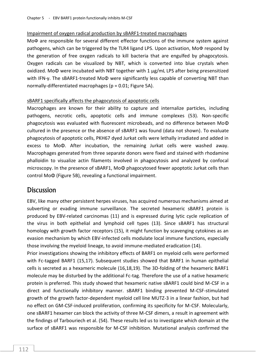## Impairment of oxygen radical production by sBARF1-treated macrophages

MoФ are responsible for several different effector functions of the immune system against pathogens, which can be triggered by the TLR4 ligand LPS. Upon activation, MoФ respond by the generation of free oxygen radicals to kill bacteria that are engulfed by phagocytosis. Oxygen radicals can be visualized by NBT, which is converted into blue crystals when oxidized. MoΦ were incubated with NBT together with 1 μg/mL LPS after being presensitized with IFN-γ. The sBARF1-treated MoΦ were significantly less capable of converting NBT than normally-differentiated macrophages (p = 0.01; Figure 5A).

## sBARF1 specifically affects the phagocytosis of apoptotic cells

Macrophages are known for their ability to capture and internalize particles, including pathogens, necrotic cells, apoptotic cells and immune complexes (53). Non-specific phagocytosis was evaluated with fluorescent microbeads, and no difference between MoΦ cultured in the presence or the absence of sBARF1 was found (data not shown). To evaluate phagocytosis of apoptotic cells, PKH67 dyed Jurkat cells were lethally irradiated and added in excess to MoΦ. After incubation, the remaining Jurkat cells were washed away. Macrophages generated from three separate donors were fixed and stained with rhodamine phalloidin to visualize actin filaments involved in phagocytosis and analyzed by confocal microscopy. In the presence of sBARF1, MoΦ phagocytosed fewer apoptotic Jurkat cells than control MoΦ (Figure 5B), revealing a functional impairment.

# **Discussion**

EBV, like many other persistent herpes viruses, has acquired numerous mechanisms aimed at subverting or evading immune surveillance. The secreted hexameric sBARF1 protein is produced by EBV-related carcinomas (11) and is expressed during lytic cycle replication of the virus in both epithelial and lymphoid cell types (13). Since sBARF1 has structural homology with growth factor receptors (15), it might function by scavenging cytokines as an evasion mechanism by which EBV-infected cells modulate local immune functions, especially those involving the myeloid lineage, to avoid immune-mediated eradication (14).

Prior investigations showing the inhibitory effects of BARF1 on myeloid cells were performed with Fc-tagged BARF1 (15,17). Subsequent studies showed that BARF1 in human epithelial cells is secreted as a hexameric molecule (16,18,19). The 3D-folding of the hexameric BARF1 molecule may be disturbed by the additional Fc-tag. Therefore the use of a native hexameric protein is preferred. This study showed that hexameric native sBARF1 could bind M-CSF in a direct and functionally inhibitory manner. sBARF1 binding prevented M-CSF-stimulated growth of the growth factor-dependent myeloid cell line MUTZ-3 in a linear fashion, but had no effect on GM-CSF-induced proliferation, confirming its specificity for M-CSF. Molecularly, one sBARF1 hexamer can block the activity of three M-CSF dimers, a result in agreement with the findings of Tarbouriech et al. (54). These results led us to investigate which domain at the surface of sBARF1 was responsible for M-CSF inhibition. Mutational analysis confirmed the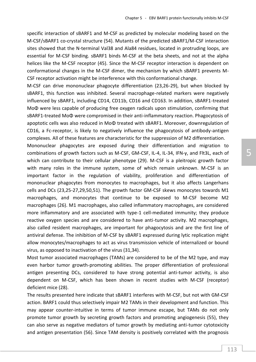specific interaction of sBARF1 and M-CSF as predicted by molecular modeling based on the M-CSF/sBARF1 co-crystal structure (54). Mutants of the predicted sBARF1/M-CSF interaction sites showed that the N-terminal Val38 and Ala84 residues, located in protruding loops, are essential for M-CSF binding. sBARF1 binds M-CSF at the beta sheets, and not at the alpha helices like the M-CSF receptor (45). Since the M-CSF receptor interaction is dependent on conformational changes in the M-CSF dimer, the mechanism by which sBARF1 prevents M-CSF receptor activation might be interference with this conformational change.

M-CSF can drive mononuclear phagocyte differentiation (23,26-29), but when blocked by sBARF1, this function was inhibited. Several macrophage-related markers were negatively influenced by sBARF1, including CD14, CD11b, CD16 and CD163. In addition, sBARF1-treated MoΦ were less capable of producing free oxygen radicals upon stimulation, confirming that sBARF1-treated MoΦ were compromised in their anti-inflammatory reaction. Phagocytosis of apoptotic cells was also reduced in MoΦ treated with sBARF1. Moreover, downregulation of CD16, a Fc-receptor, is likely to negatively influence the phagocytosis of antibody-antigen complexes. All of these features are characteristic for the suppression of M2 differentiation.

Mononuclear phagocytes are exposed during their differentiation and migration to combinations of growth factors such as M-CSF, GM-CSF, IL-4, IL-34, IFN-γ, and Flt3L, each of which can contribute to their cellular phenotype (29). M-CSF is a pleitropic growth factor with many roles in the immune system, some of which remain unknown. M-CSF is an important factor in the regulation of viability, proliferation and differentiation of mononuclear phagocytes from monocytes to macrophages, but it also affects Langerhans cells and DCs (23,25-27,29,50,51). The growth factor GM-CSF skews monocytes towards M1 macrophages, and monocytes that continue to be exposed to M-CSF become M2 macrophages (26). M1 macrophages, also called inflammatory macrophages, are considered more inflammatory and are associated with type-1 cell-mediated immunity; they produce reactive oxygen species and are considered to have anti-tumor activity. M2 macrophages, also called resident macrophages, are important for phagocytosis and are the first line of antiviral defense. The inhibition of M-CSF by sBARF1 expressed during lytic replication might allow monocytes/macrophages to act as virus transmission vehicle of internalized or bound virus, as opposed to inactivation of the virus (31,34).

Most tumor associated macrophages (TAMs) are considered to be of the M2 type, and may even harbor tumor growth-promoting abilities. The proper differentiation of professional antigen presenting DCs, considered to have strong potential anti-tumor activity, is also dependent on M-CSF, which has been shown in recent studies with M-CSF (receptor) deficient mice (28).

The results presented here indicate that sBARF1 interferes with M-CSF, but not with GM-CSF action. BARF1 could thus selectively impair M2 TAMs in their development and function. This may appear counter-intuitive in terms of tumor immune escape, but TAMs do not only promote tumor growth by secreting growth factors and promoting angiogenesis (55), they can also serve as negative mediators of tumor growth by mediating anti-tumor cytotoxicity and antigen presentation (56). Since TAM density is positively correlated with the prognosis

5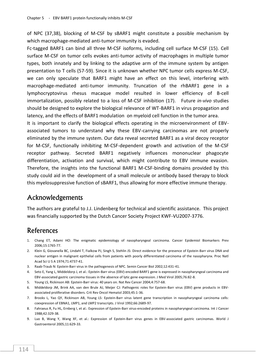of NPC (37,38), blocking of M-CSF by sBARF1 might constitute a possible mechanism by which macrophage-mediated anti-tumor immunity is evaded.

Fc-tagged BARF1 can bind all three M-CSF isoforms, including cell surface M-CSF (15). Cell surface M-CSF on tumor cells evokes anti-tumor activity of macrophages in multiple tumor types, both innately and by linking to the adaptive arm of the immune system by antigen presentation to T cells (57-59). Since it is unknown whether NPC tumor cells express M-CSF, we can only speculate that BARF1 might have an effect on this level, interfering with macrophage-mediated anti-tumor immunity. Truncation of the rhBARF1 gene in a lymphocryptovirus rhesus macaque model resulted in lower efficiency of B-cell immortalization, possibly related to a loss of M-CSF inhibition (17). Future *in-vivo* studies should be designed to explore the biological relevance of WT-BARF1 in virus propagation and latency, and the effects of BARF1 modulation on myeloid cell function in the tumor area.

It is important to clarify the biological effects operating in the microenvironment of EBVassociated tumors to understand why these EBV-carrying carcinomas are not properly eliminated by the immune system. Our data reveal secreted BARF1 as a viral decoy receptor for M-CSF, functionally inhibiting M-CSF-dependent growth and activation of the M-CSF receptor pathway. Secreted BARF1 negatively influences mononuclear phagocyte differentiation, activation and survival, which might contribute to EBV immune evasion. Therefore, the insights into the functional BARF1 M-CSF-binding domains provided by this study could aid in the development of a small molecule or antibody based therapy to block this myelosuppressive function of sBARF1, thus allowing for more effective immune therapy.

# Acknowledgements

The authors are grateful to J.J. Lindenberg for technical and scientific assistance. This project was financially supported by the Dutch Cancer Society Project KWF-VU2007-3776.

# References

- 1. Chang ET, Adami HO: The enigmatic epidemiology of nasopharyngeal carcinoma. Cancer Epidemiol Biomarkers Prev 2006;15:1765-77.
- 2. Klein G, Giovanella BC, Lindahl T, Fialkow PJ, Singh S, Stehlin JS: Direct evidence for the presence of Epstein-Barr virus DNA and nuclear antigen in malignant epithelial cells from patients with poorly differentiated carcinoma of the nasopharynx. Proc Natl Acad Sci U S A 1974;71:4737-41.
- 3. Raab-Traub N: Epstein-Barr virus in the pathogenesis of NPC. Semin Cancer Biol 2002;12:431-41.
- 4. Seto E, Yang L, Middeldorp J, et al.: Epstein-Barr virus (EBV)-encoded BARF1 gene is expressed in nasopharyngeal carcinoma and EBV-associated gastric carcinoma tissues in the absence of lytic gene expression. J Med Virol 2005;76:82-8.
- 5. Young LS, Rickinson AB: Epstein-Barr virus: 40 years on. Nat Rev Cancer 2004;4:757-68.
- 6. Middeldorp JM, Brink AA, van den Brule AJ, Meijer CJ: Pathogenic roles for Epstein-Barr virus (EBV) gene products in EBVassociated proliferative disorders. Crit Rev Oncol Hematol 2003;45:1-36.
- 7. Brooks L, Yao QY, Rickinson AB, Young LS: Epstein-Barr virus latent gene transcription in nasopharyngeal carcinoma cells: coexpression of EBNA1, LMP1, and LMP2 transcripts. J Virol 1992;66:2689-97.
- 8. Fahraeus R, Fu HL, Ernberg I, et al.: Expression of Epstein-Barr virus-encoded proteins in nasopharyngeal carcinoma. Int J Cancer 1988;42:329-38.
- 9. Luo B, Wang Y, Wang XF, et al.: Expression of Epstein-Barr virus genes in EBV-associated gastric carcinomas. World J Gastroenterol 2005;11:629-33.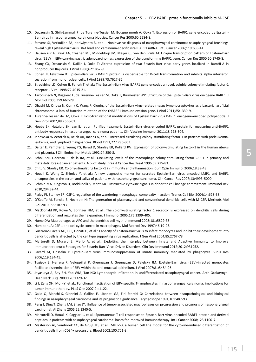- 10. Decaussin G, Sbih-Lammali F, de Turenne-Tessier M, Bouguermouh A, Ooka T: Expression of BARF1 gene encoded by Epstein-Barr virus in nasopharyngeal carcinoma biopsies. Cancer Res 2000;60:5584-8.
- 11. Stevens SJ, Verkuijlen SA, Hariwiyanto B, et al.: Noninvasive diagnosis of nasopharyngeal carcinoma: nasopharyngeal brushings reveal high Epstein-Barr virus DNA load and carcinoma-specific viral BARF1 mRNA. Int J Cancer 2006;119:608-14.
- 12. Hausen zur A, Brink AA, Craanen ME, Middeldorp JM, Meijer CJ, van den Brule AJ: Unique transcription pattern of Epstein-Barr virus (EBV) in EBV-carrying gastric adenocarcinomas: expression of the transforming BARF1 gene. Cancer Res 2000;60:2745-8.
- 13. Zhang CX, Decaussin G, Daillie J, Ooka T: Altered expression of two Epstein-Barr virus early genes localized in BamHI-A in nonproducer Raji cells. J Virol 1988;62:1862-9.
- 14. Cohen JI, Lekstrom K: Epstein-Barr virus BARF1 protein is dispensable for B-cell transformation and inhibits alpha interferon secretion from mononuclear cells. J Virol 1999;73:7627-32.
- 15. Strockbine LD, Cohen JI, Farrah T, et al.: The Epstein-Barr virus BARF1 gene encodes a novel, soluble colony-stimulating factor-1 receptor. J Virol 1998;72:4015-21.
- 16. Tarbouriech N, Ruggiero F, de Turenne-Tessier M, Ooka T, Burmeister WP: Structure of the Epstein-Barr virus oncogene BARF1. J Mol Biol 2006;359:667-78.
- 17. Ohashi M, Orlova N, Quink C, Wang F: Cloning of the Epstein-Barr virus-related rhesus lymphocryptovirus as a bacterial artificial chromosome: a loss-of-function mutation of the rhBARF1 immune evasion gene. J Virol 2011;85:1330-9.
- 18. Turenne-Tessier de M, Ooka T: Post-translational modifications of Epstein Barr virus BARF1 oncogene-encoded polypeptide. J Gen Virol 2007;88:2656-61.
- 19. Hoebe EK, Hutajulu SH, van BJ, et al.: Purified hexameric Epstein-Barr virus-encoded BARF1 protein for measuring anti-BARF1 antibody responses in nasopharyngeal carcinoma patients. Clin Vaccine Immunol 2011;18:298-304.
- 20. Janowska-Wieczorek A, Belch AR, Jacobs A, et al.: Increased circulating colony-stimulating factor-1 in patients with preleukemia, leukemia, and lymphoid malignancies. Blood 1991;77:1796-803.
- 21. Daiter E, Pampfer S, Yeung YG, Barad D, Stanley ER, Pollard JW: Expression of colony-stimulating factor-1 in the human uterus and placenta. J Clin Endocrinol Metab 1992;74:850-8.
- 22. Scholl SM, Lidereau R, de la RA, et al.: Circulating levels of the macrophage colony stimulating factor CSF-1 in primary and metastatic breast cancer patients. A pilot study. Breast Cancer Res Treat 1996;39:275-83.
- 23. Chitu V, Stanley ER: Colony-stimulating factor-1 in immunity and inflammation. Curr Opin Immunol 2006;18:39-48.
- 24. Houali K, Wang X, Shimizu Y, et al.: A new diagnostic marker for secreted Epstein-Barr virus encoded LMP1 and BARF1 oncoproteins in the serum and saliva of patients with nasopharyngeal carcinoma. Clin Cancer Res 2007;13:4993-5000.
- 25. Schmid MA, Kingston D, Boddupalli S, Manz MG: Instructive cytokine signals in dendritic cell lineage commitment. Immunol Rev 2010;234:32-44.
- 26. Pixley FJ, Stanley ER: CSF-1 regulation of the wandering macrophage: complexity in action. Trends Cell Biol 2004;14:628-38.
- 27. O'Keeffe M, Fancke B, Hochrein H: The generation of plasmacytoid and conventional dendritic cells with M-CSF. Methods Mol Biol 2010;595:187-93.
- 28. MacDonald KP, Rowe V, Bofinger HM, et al.: The colony-stimulating factor 1 receptor is expressed on dendritic cells during differentiation and regulates their expansion. J Immunol 2005;175:1399-405.
- 29. Hume DA: Macrophages as APC and the dendritic cell myth. J Immunol 2008;181:5829-35.
- 30. Hamilton JA: CSF-1 and cell cycle control in macrophages. Mol Reprod Dev 1997;46:19-23.
- 31. Guerreiro-Cacais AO, Li L, Donati D, et al.: Capacity of Epstein-Barr virus to infect monocytes and inhibit their development into dendritic cells is affected by the cell type supporting virus replication. J Gen Virol 2004;85:2767-78.
- 32. Martorelli D, Muraro E, Merlo A, et al.: Exploiting the Interplay between Innate and Adaptive Immunity to Improve Immunotherapeutic Strategies for Epstein-Barr-Virus-Driven Disorders. Clin Dev Immunol 2012;2012:931952.
- 33. Savard M, Gosselin J: Epstein-Barr virus immunossuppression of innate immunity mediated by phagocytes. Virus Res 2006;119:134-45.
- 34. Tugizov S, Herrera R, Veluppillai P, Greenspan J, Greenspan D, Palefsky JM: Epstein-Barr virus (EBV)-infected monocytes facilitate dissemination of EBV within the oral mucosal epithelium. J Virol 2007;81:5484-96.
- 35. Jayasurya A, Bay BH, Yap WM, Tan NG: Lymphocytic infiltration in undifferentiated nasopharyngeal cancer. Arch Otolaryngol Head Neck Surg 2000;126:1329-32.
- 36. Li J, Zeng XH, Mo HY, et al.: Functional inactivation of EBV-specific T-lymphocytes in nasopharyngeal carcinoma: implications for tumor immunotherapy. PLoS One 2007;2:e1122.
- 37. Gallo O, Bianchi S, Giannini A, Gallina E, Libonati GA, Fini-Storchi O: Correlations between histopathological and biological findings in nasopharyngeal carcinoma and its prognostic significance. Laryngoscope 1991;101:487-93.
- 38. Peng J, Ding T, Zheng LM, Shao JY: [Influence of tumor-associated macrophages on progression and prognosis of nasopharyngeal carcinoma]. Ai Zheng 2006;25:1340-5.
- 39. Martorelli D, Houali K, Caggiari L, et al.: Spontaneous T cell responses to Epstein-Barr virus-encoded BARF1 protein and derived peptides in patients with nasopharyngeal carcinoma: bases for improved immunotherapy. Int J Cancer 2008;123:1100-7.
- 40. Masterson AJ, Sombroek CC, de Gruijl TD, et al.: MUTZ-3, a human cell line model for the cytokine-induced differentiation of dendritic cells from CD34+ precursors. Blood 2002;100:701-3.